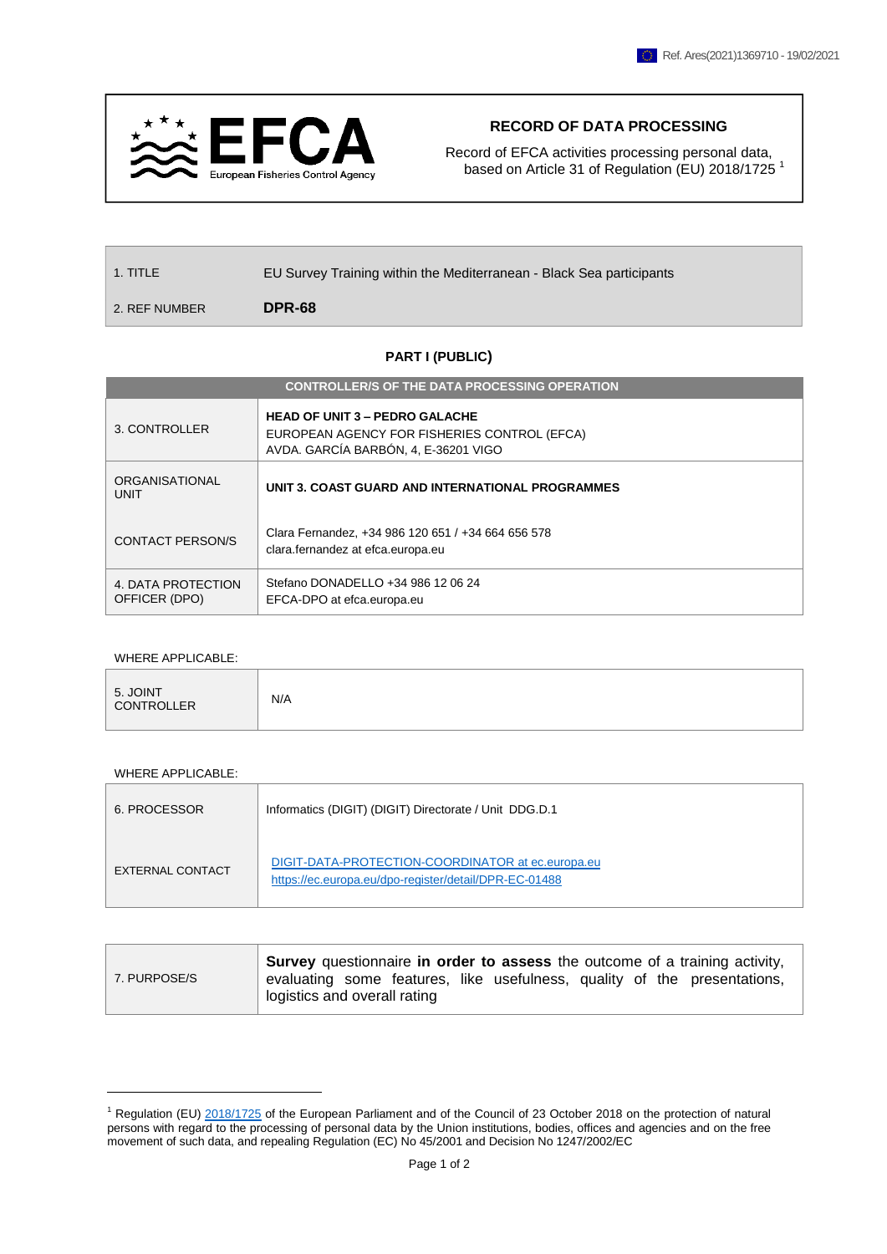

## **RECORD OF DATA PROCESSING**

Record of EFCA activities processing personal data, based on Article 31 of Regulation (EU) 2018/1725<sup>1</sup>

| $\vert$ 1. TITLE | EU Survey Training within the Mediterranean - Black Sea participants |
|------------------|----------------------------------------------------------------------|
| 2. REF NUMBER    | DPR-68                                                               |

## **PART I (PUBLIC)**

| <b>CONTROLLER/S OF THE DATA PROCESSING OPERATION</b> |                                                                                                                               |  |  |  |  |
|------------------------------------------------------|-------------------------------------------------------------------------------------------------------------------------------|--|--|--|--|
| 3. CONTROLLER                                        | <b>HEAD OF UNIT 3 - PEDRO GALACHE</b><br>EUROPEAN AGENCY FOR FISHERIES CONTROL (EFCA)<br>AVDA. GARCÍA BARBÓN, 4, E-36201 VIGO |  |  |  |  |
| ORGANISATIONAL<br><b>UNIT</b>                        | UNIT 3. COAST GUARD AND INTERNATIONAL PROGRAMMES                                                                              |  |  |  |  |
| CONTACT PERSON/S                                     | Clara Fernandez, +34 986 120 651 / +34 664 656 578<br>clara.fernandez at efca.europa.eu                                       |  |  |  |  |
| 4. DATA PROTECTION<br>OFFICER (DPO)                  | Stefano DONADELLO +34 986 12 06 24<br>EFCA-DPO at efca.europa.eu                                                              |  |  |  |  |

## WHERE APPLICABLE:

| 5. JOINT<br>CONTROLLER | N/A |
|------------------------|-----|
|------------------------|-----|

## WHERE APPLICABLE:

| 6. PROCESSOR     | Informatics (DIGIT) (DIGIT) Directorate / Unit DDG.D.1                                                     |
|------------------|------------------------------------------------------------------------------------------------------------|
| EXTERNAL CONTACT | DIGIT-DATA-PROTECTION-COORDINATOR at ec.europa.eu<br>https://ec.europa.eu/dpo-register/detail/DPR-EC-01488 |

| 7. PURPOSE/S | Survey questionnaire in order to assess the outcome of a training activity,<br>evaluating some features, like usefulness, quality of the presentations,<br>logistics and overall rating |
|--------------|-----------------------------------------------------------------------------------------------------------------------------------------------------------------------------------------|
|              |                                                                                                                                                                                         |

 $1$  Regulation (EU)  $2018/1725$  of the European Parliament and of the Council of 23 October 2018 on the protection of natural persons with regard to the processing of personal data by the Union institutions, bodies, offices and agencies and on the free movement of such data, and repealing Regulation (EC) No 45/2001 and Decision No 1247/2002/EC